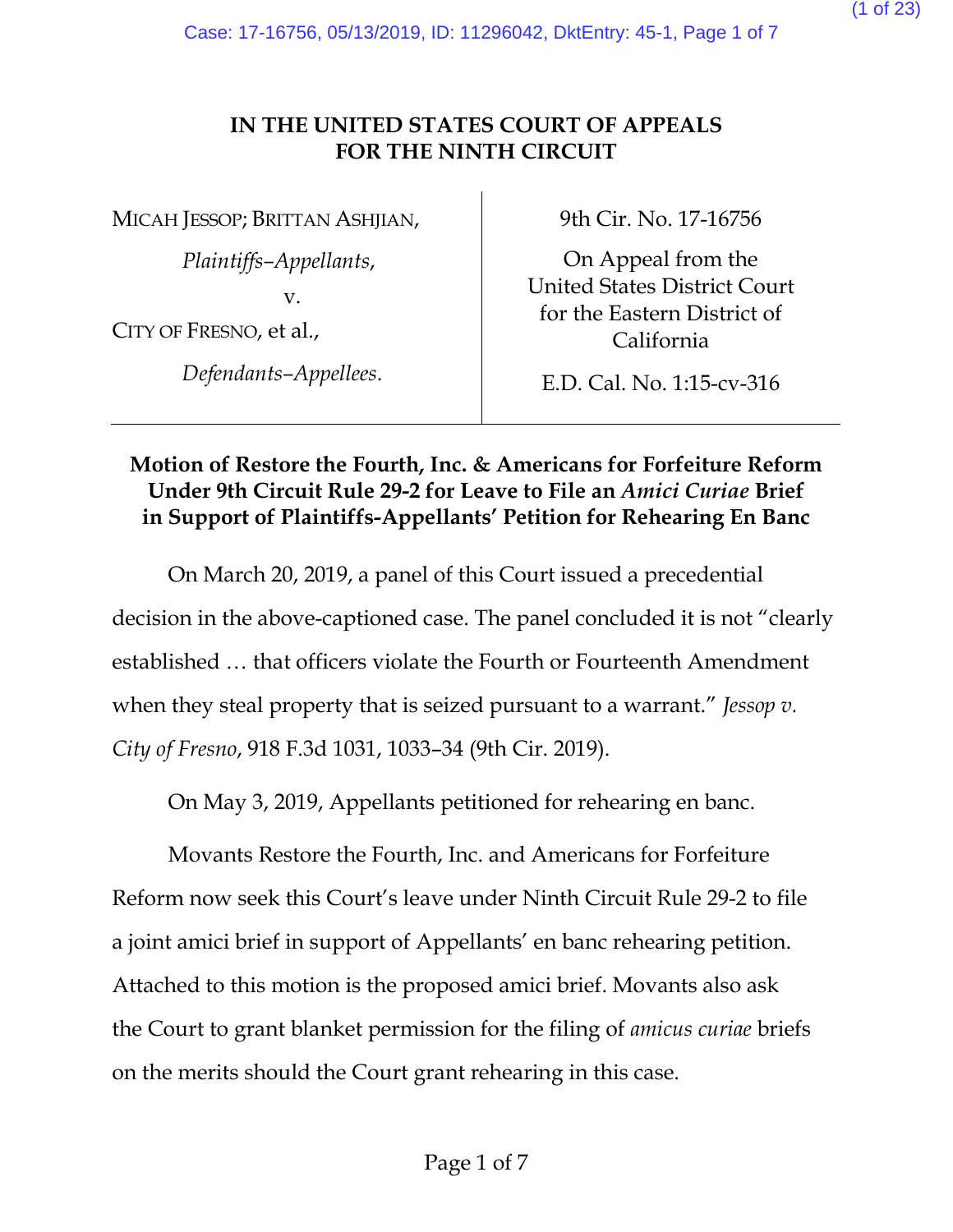(1 of 23)

# **IN THE UNITED STATES COURT OF APPEALS FOR THE NINTH CIRCUIT**

MICAH JESSOP; BRITTAN ASHJIAN,

*Plaintiffs–Appellants*,

v.

CITY OF FRESNO, et al.,

*Defendants–Appellees*.

9th Cir. No. 17-16756

On Appeal from the United States District Court for the Eastern District of California

E.D. Cal. No. 1:15-cv-316

# **Motion of Restore the Fourth, Inc. & Americans for Forfeiture Reform Under 9th Circuit Rule 29-2 for Leave to File an** *Amici Curiae* **Brief in Support of Plaintiffs-Appellants' Petition for Rehearing En Banc**

On March 20, 2019, a panel of this Court issued a precedential decision in the above-captioned case. The panel concluded it is not "clearly established … that officers violate the Fourth or Fourteenth Amendment when they steal property that is seized pursuant to a warrant." *Jessop v. City of Fresno*, 918 F.3d 1031, 1033–34 (9th Cir. 2019).

On May 3, 2019, Appellants petitioned for rehearing en banc.

Movants Restore the Fourth, Inc. and Americans for Forfeiture Reform now seek this Court's leave under Ninth Circuit Rule 29-2 to file a joint amici brief in support of Appellants' en banc rehearing petition. Attached to this motion is the proposed amici brief. Movants also ask the Court to grant blanket permission for the filing of *amicus curiae* briefs on the merits should the Court grant rehearing in this case.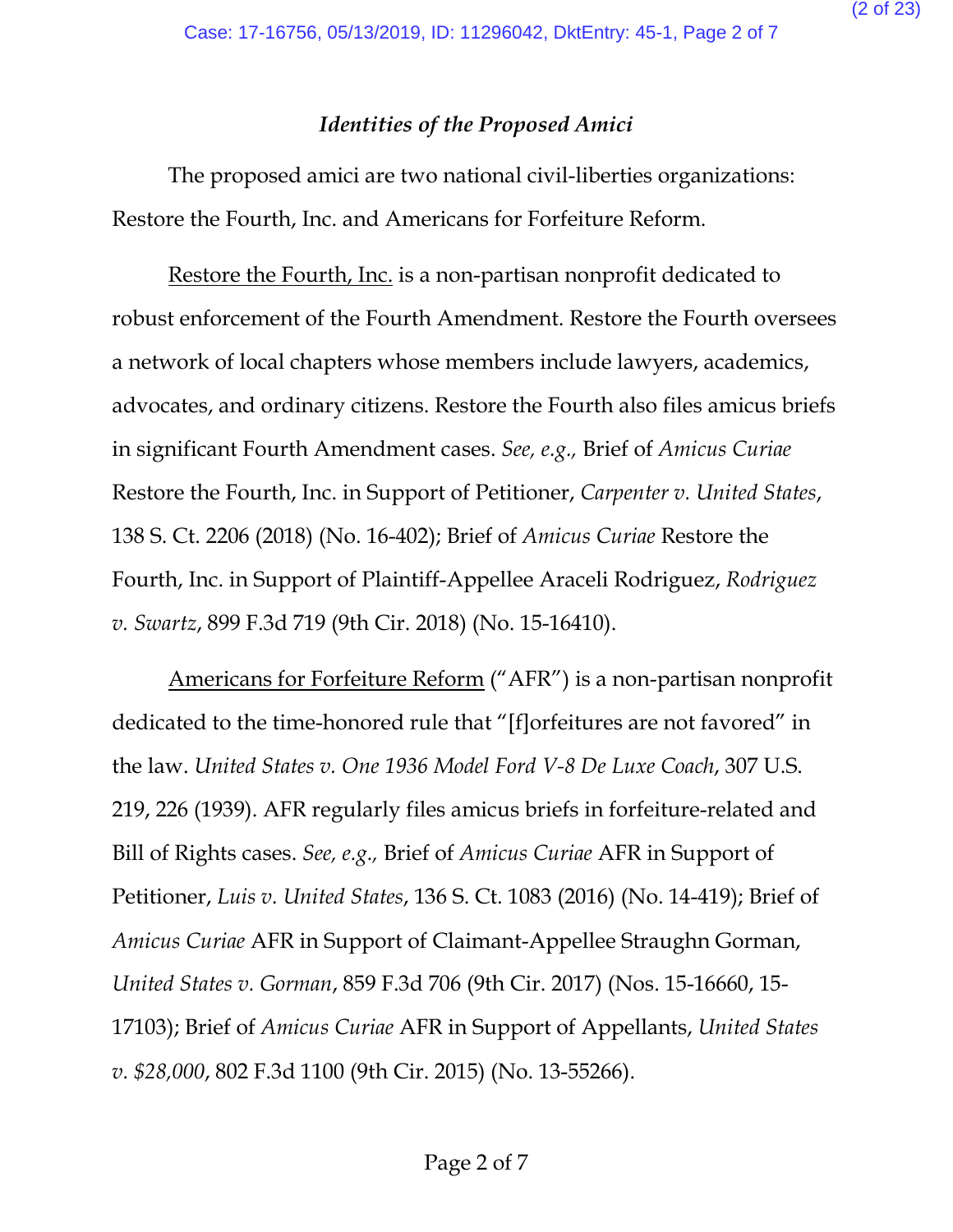# *Identities of the Proposed Amici*

The proposed amici are two national civil-liberties organizations: Restore the Fourth, Inc. and Americans for Forfeiture Reform.

Restore the Fourth, Inc. is a non-partisan nonprofit dedicated to robust enforcement of the Fourth Amendment. Restore the Fourth oversees a network of local chapters whose members include lawyers, academics, advocates, and ordinary citizens. Restore the Fourth also files amicus briefs in significant Fourth Amendment cases. *See, e.g.,* Brief of *Amicus Curiae* Restore the Fourth, Inc. in Support of Petitioner, *Carpenter v. United States*, 138 S. Ct. 2206 (2018) (No. 16-402); Brief of *Amicus Curiae* Restore the Fourth, Inc. in Support of Plaintiff-Appellee Araceli Rodriguez, *Rodriguez v. Swartz*, 899 F.3d 719 (9th Cir. 2018) (No. 15-16410).

Americans for Forfeiture Reform ("AFR") is a non-partisan nonprofit dedicated to the time-honored rule that "[f]orfeitures are not favored" in the law. *United States v. One 1936 Model Ford V-8 De Luxe Coach*, 307 U.S. 219, 226 (1939). AFR regularly files amicus briefs in forfeiture-related and Bill of Rights cases. *See, e.g.,* Brief of *Amicus Curiae* AFR in Support of Petitioner, *Luis v. United States*, 136 S. Ct. 1083 (2016) (No. 14-419); Brief of *Amicus Curiae* AFR in Support of Claimant-Appellee Straughn Gorman, *United States v. Gorman*, 859 F.3d 706 (9th Cir. 2017) (Nos. 15-16660, 15- 17103); Brief of *Amicus Curiae* AFR in Support of Appellants, *United States v. \$28,000*, 802 F.3d 1100 (9th Cir. 2015) (No. 13-55266).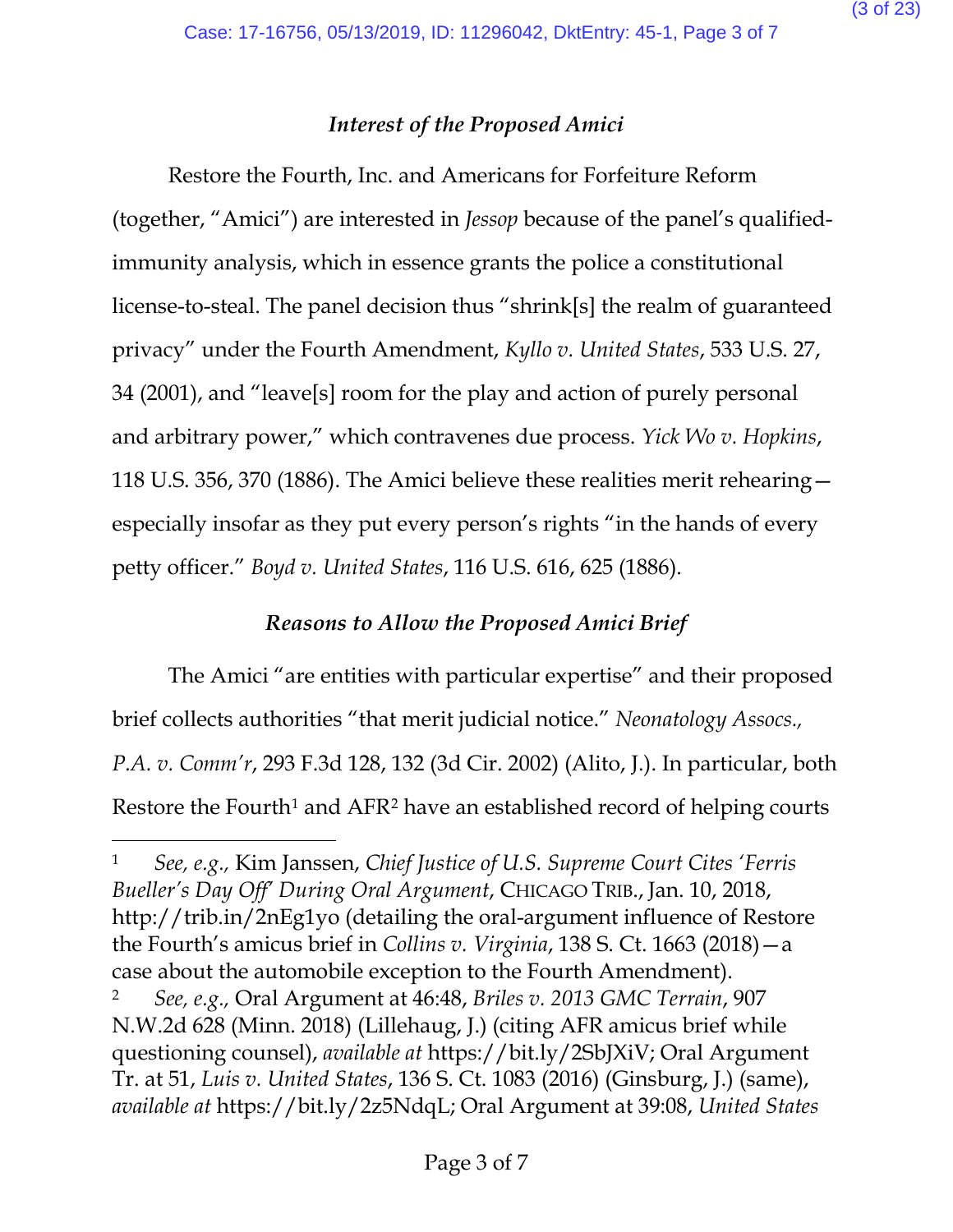# *Interest of the Proposed Amici*

Restore the Fourth, Inc. and Americans for Forfeiture Reform (together, "Amici") are interested in *Jessop* because of the panel's qualifiedimmunity analysis, which in essence grants the police a constitutional license-to-steal. The panel decision thus "shrink[s] the realm of guaranteed privacy" under the Fourth Amendment, *Kyllo v. United States*, 533 U.S. 27, 34 (2001), and "leave[s] room for the play and action of purely personal and arbitrary power," which contravenes due process. *Yick Wo v. Hopkins*, 118 U.S. 356, 370 (1886). The Amici believe these realities merit rehearing especially insofar as they put every person's rights "in the hands of every petty officer." *Boyd v. United States*, 116 U.S. 616, 625 (1886).

# *Reasons to Allow the Proposed Amici Brief*

The Amici "are entities with particular expertise" and their proposed brief collects authorities "that merit judicial notice." *Neonatology Assocs., P.A. v. Comm'r*, 293 F.3d 128, 132 (3d Cir. 2002) (Alito, J.). In particular, both Restore the Fourth<sup>1</sup> and AFR<sup>[2](#page-2-1)</sup> have an established record of helping courts

 $\overline{\phantom{a}}$ 

<span id="page-2-0"></span><sup>1</sup> *See, e.g.,* Kim Janssen, *Chief Justice of U.S. Supreme Court Cites 'Ferris Bueller's Day Off' During Oral Argument*, CHICAGO TRIB., Jan. 10, 2018, http://trib.in/2nEg1yo (detailing the oral-argument influence of Restore the Fourth's amicus brief in *Collins v. Virginia*, 138 S. Ct. 1663 (2018)—a case about the automobile exception to the Fourth Amendment).

<span id="page-2-1"></span><sup>2</sup> *See, e.g.,* Oral Argument at 46:48, *Briles v. 2013 GMC Terrain*, 907 N.W.2d 628 (Minn. 2018) (Lillehaug, J.) (citing AFR amicus brief while questioning counsel), *available at* https://bit.ly/2SbJXiV; Oral Argument Tr. at 51, *Luis v. United States*, 136 S. Ct. 1083 (2016) (Ginsburg, J.) (same), *available at* https://bit.ly/2z5NdqL; Oral Argument at 39:08, *United States*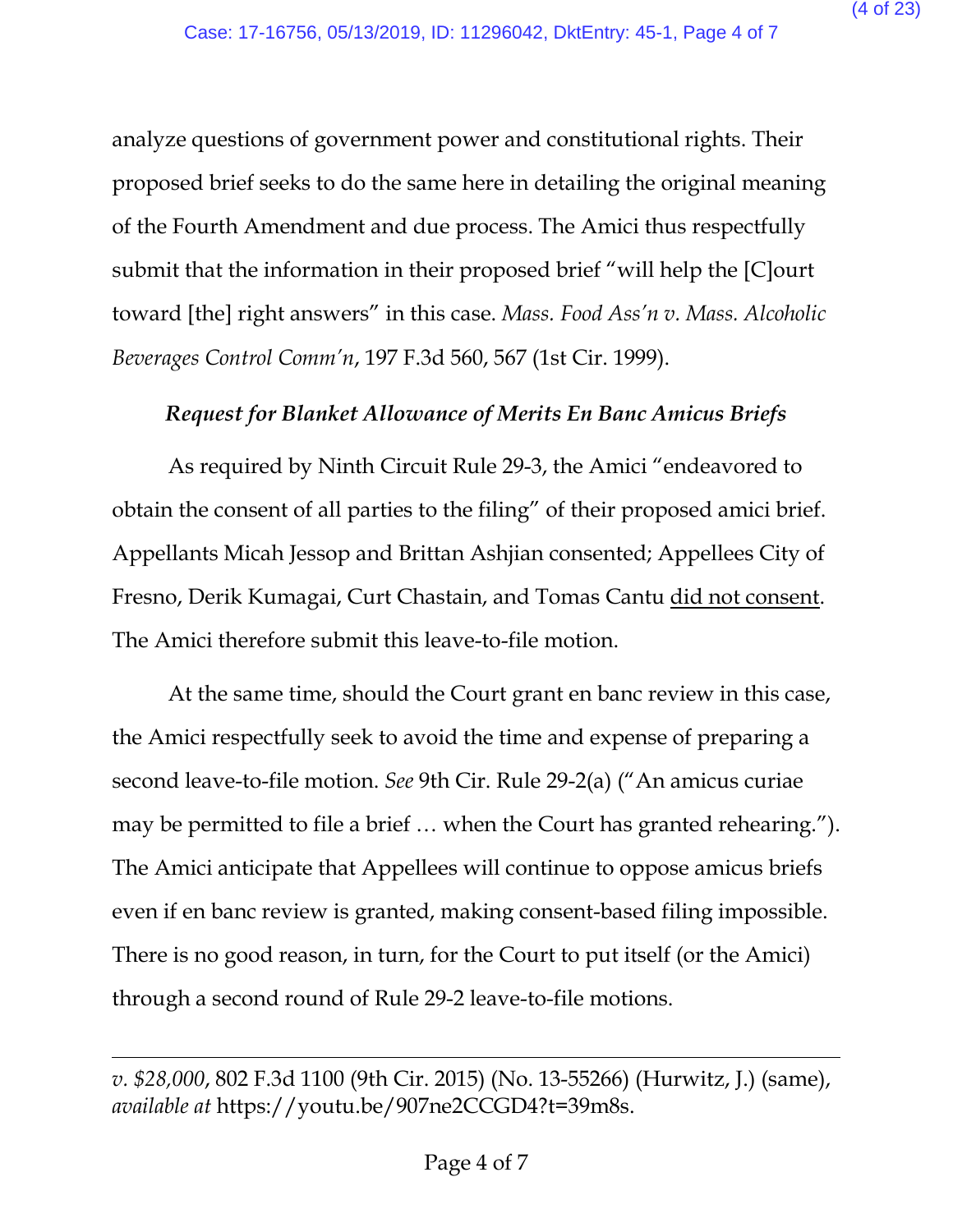analyze questions of government power and constitutional rights. Their proposed brief seeks to do the same here in detailing the original meaning of the Fourth Amendment and due process. The Amici thus respectfully submit that the information in their proposed brief "will help the [C]ourt toward [the] right answers" in this case. *Mass. Food Ass'n v. Mass. Alcoholic Beverages Control Comm'n*, 197 F.3d 560, 567 (1st Cir. 1999).

# *Request for Blanket Allowance of Merits En Banc Amicus Briefs*

As required by Ninth Circuit Rule 29-3, the Amici "endeavored to obtain the consent of all parties to the filing" of their proposed amici brief. Appellants Micah Jessop and Brittan Ashjian consented; Appellees City of Fresno, Derik Kumagai, Curt Chastain, and Tomas Cantu did not consent. The Amici therefore submit this leave-to-file motion.

At the same time, should the Court grant en banc review in this case, the Amici respectfully seek to avoid the time and expense of preparing a second leave-to-file motion. *See* 9th Cir. Rule 29-2(a) ("An amicus curiae may be permitted to file a brief … when the Court has granted rehearing."). The Amici anticipate that Appellees will continue to oppose amicus briefs even if en banc review is granted, making consent-based filing impossible. There is no good reason, in turn, for the Court to put itself (or the Amici) through a second round of Rule 29-2 leave-to-file motions.

 $\overline{\phantom{a}}$ 

*v. \$28,000*, 802 F.3d 1100 (9th Cir. 2015) (No. 13-55266) (Hurwitz, J.) (same), *available at* https://youtu.be/907ne2CCGD4?t=39m8s.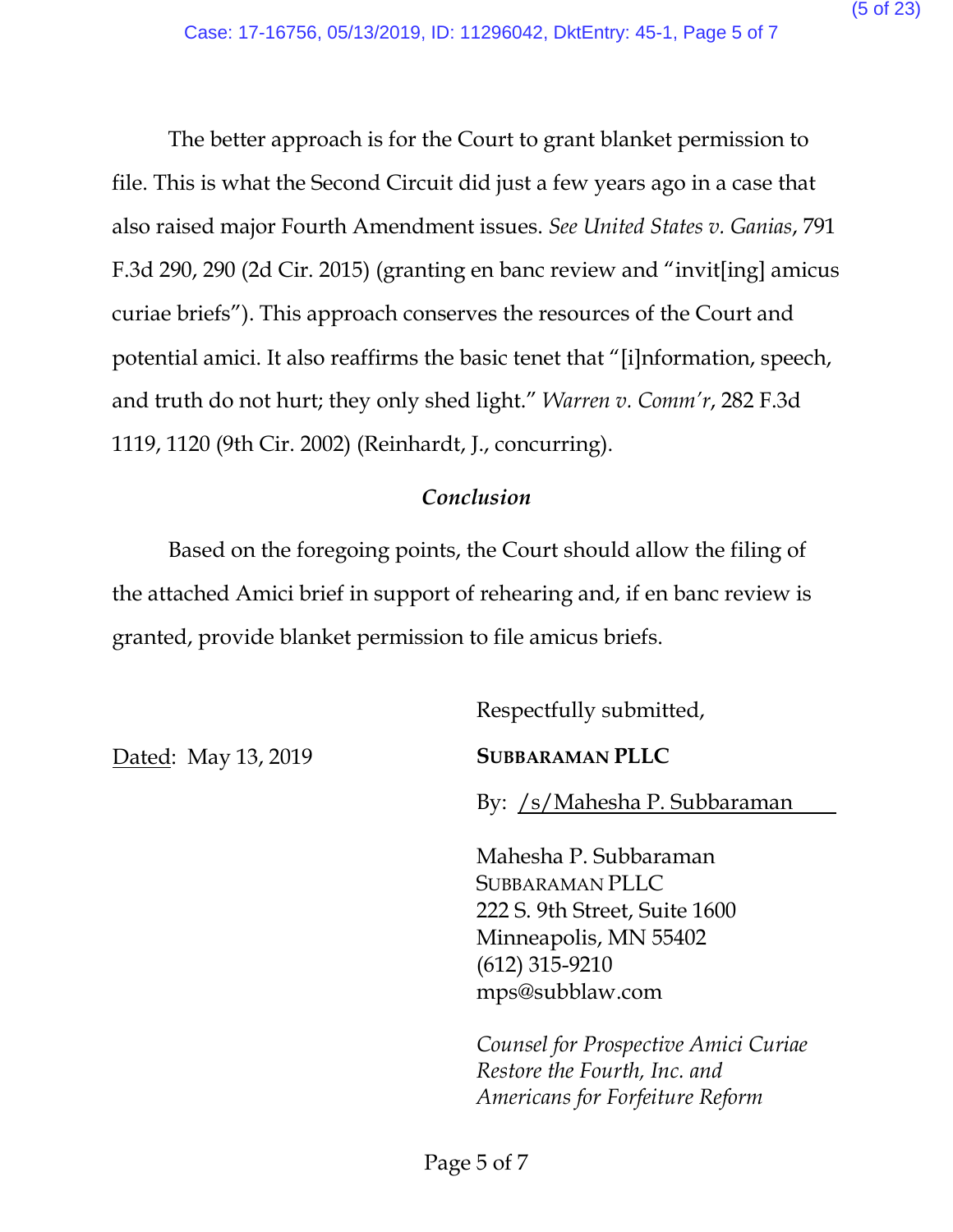The better approach is for the Court to grant blanket permission to file. This is what the Second Circuit did just a few years ago in a case that also raised major Fourth Amendment issues. *See United States v. Ganias*, 791 F.3d 290, 290 (2d Cir. 2015) (granting en banc review and "invit[ing] amicus curiae briefs"). This approach conserves the resources of the Court and potential amici. It also reaffirms the basic tenet that "[i]nformation, speech, and truth do not hurt; they only shed light." *Warren v. Comm'r*, 282 F.3d 1119, 1120 (9th Cir. 2002) (Reinhardt, J., concurring).

### *Conclusion*

Based on the foregoing points, the Court should allow the filing of the attached Amici brief in support of rehearing and, if en banc review is granted, provide blanket permission to file amicus briefs.

Respectfully submitted,

Dated: May 13, 2019

**SUBBARAMAN PLLC**

By: /s/Mahesha P. Subbaraman

Mahesha P. Subbaraman SUBBARAMAN PLLC 222 S. 9th Street, Suite 1600 Minneapolis, MN 55402 (612) 315-9210 mps@subblaw.com

*Counsel for Prospective Amici Curiae Restore the Fourth, Inc. and Americans for Forfeiture Reform*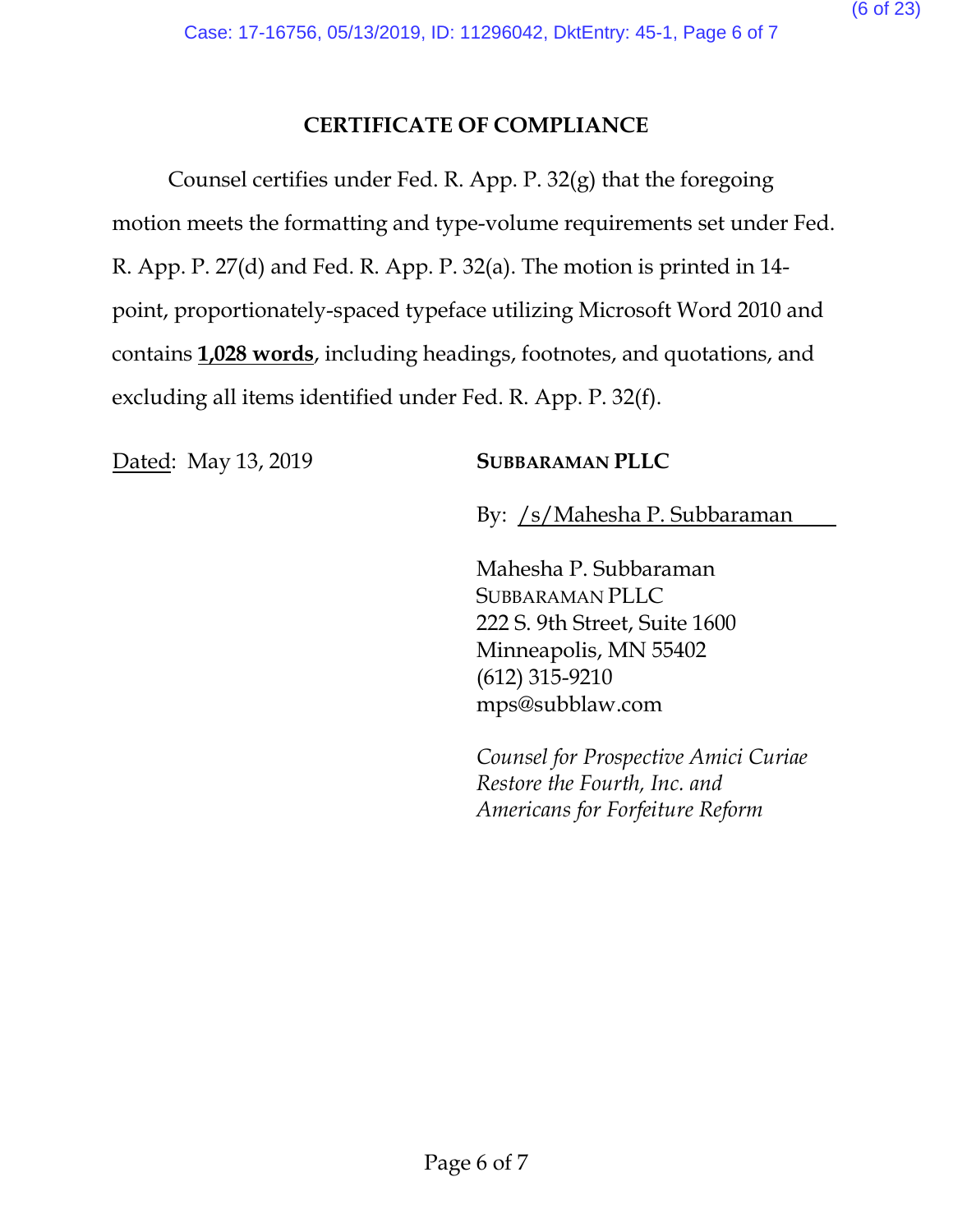# **CERTIFICATE OF COMPLIANCE**

Counsel certifies under Fed. R. App. P. 32(g) that the foregoing motion meets the formatting and type-volume requirements set under Fed. R. App. P. 27(d) and Fed. R. App. P. 32(a). The motion is printed in 14 point, proportionately-spaced typeface utilizing Microsoft Word 2010 and contains **1,028 words**, including headings, footnotes, and quotations, and excluding all items identified under Fed. R. App. P. 32(f).

Dated: May 13, 2019 **SUBBARAMAN PLLC** 

By: /s/Mahesha P. Subbaraman

Mahesha P. Subbaraman SUBBARAMAN PLLC 222 S. 9th Street, Suite 1600 Minneapolis, MN 55402 (612) 315-9210 mps@subblaw.com

*Counsel for Prospective Amici Curiae Restore the Fourth, Inc. and Americans for Forfeiture Reform*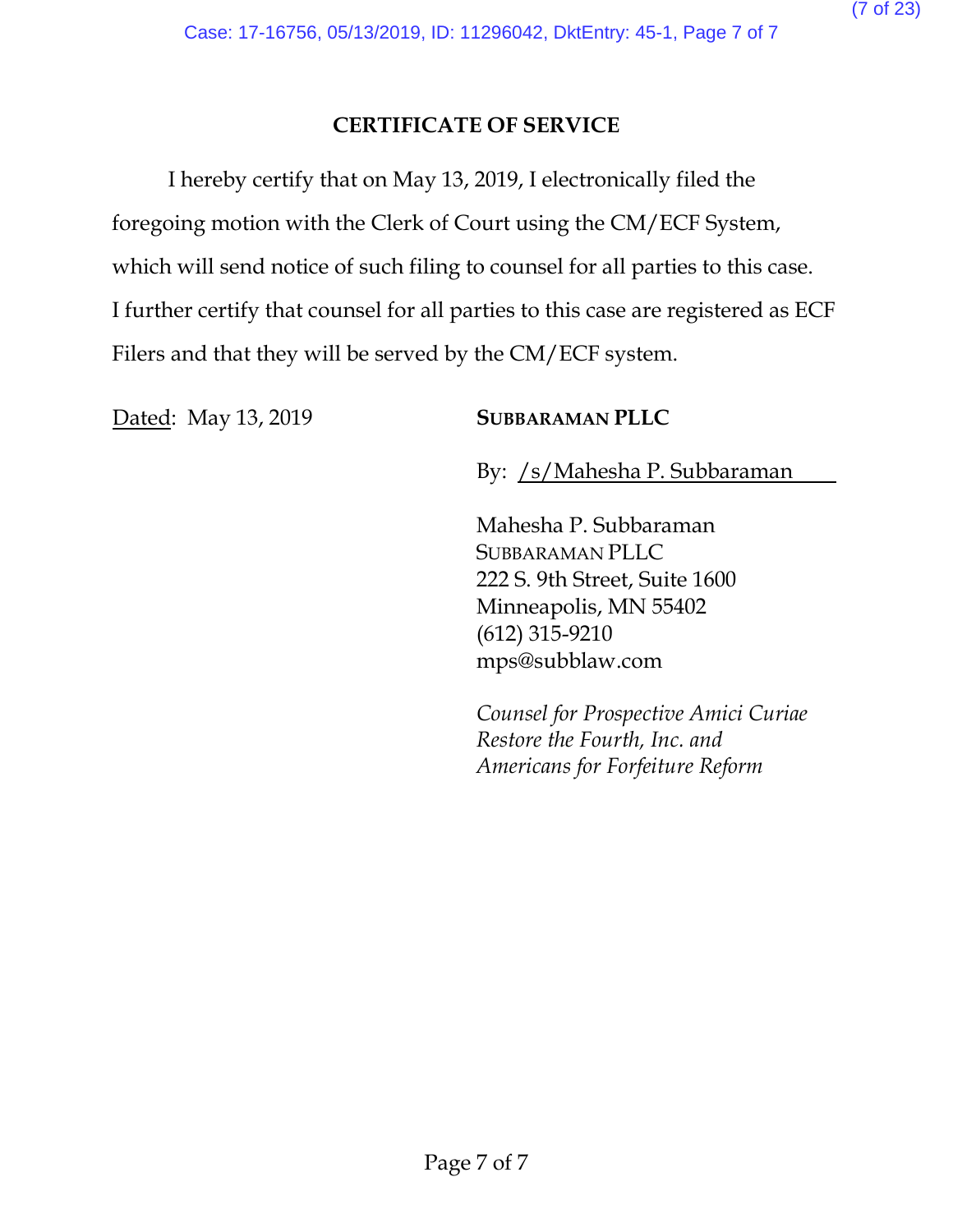# **CERTIFICATE OF SERVICE**

I hereby certify that on May 13, 2019, I electronically filed the foregoing motion with the Clerk of Court using the CM/ECF System, which will send notice of such filing to counsel for all parties to this case. I further certify that counsel for all parties to this case are registered as ECF Filers and that they will be served by the CM/ECF system.

Dated: May 13, 2019 **SUBBARAMAN PLLC** 

By: /s/Mahesha P. Subbaraman

Mahesha P. Subbaraman SUBBARAMAN PLLC 222 S. 9th Street, Suite 1600 Minneapolis, MN 55402 (612) 315-9210 mps@subblaw.com

*Counsel for Prospective Amici Curiae Restore the Fourth, Inc. and Americans for Forfeiture Reform*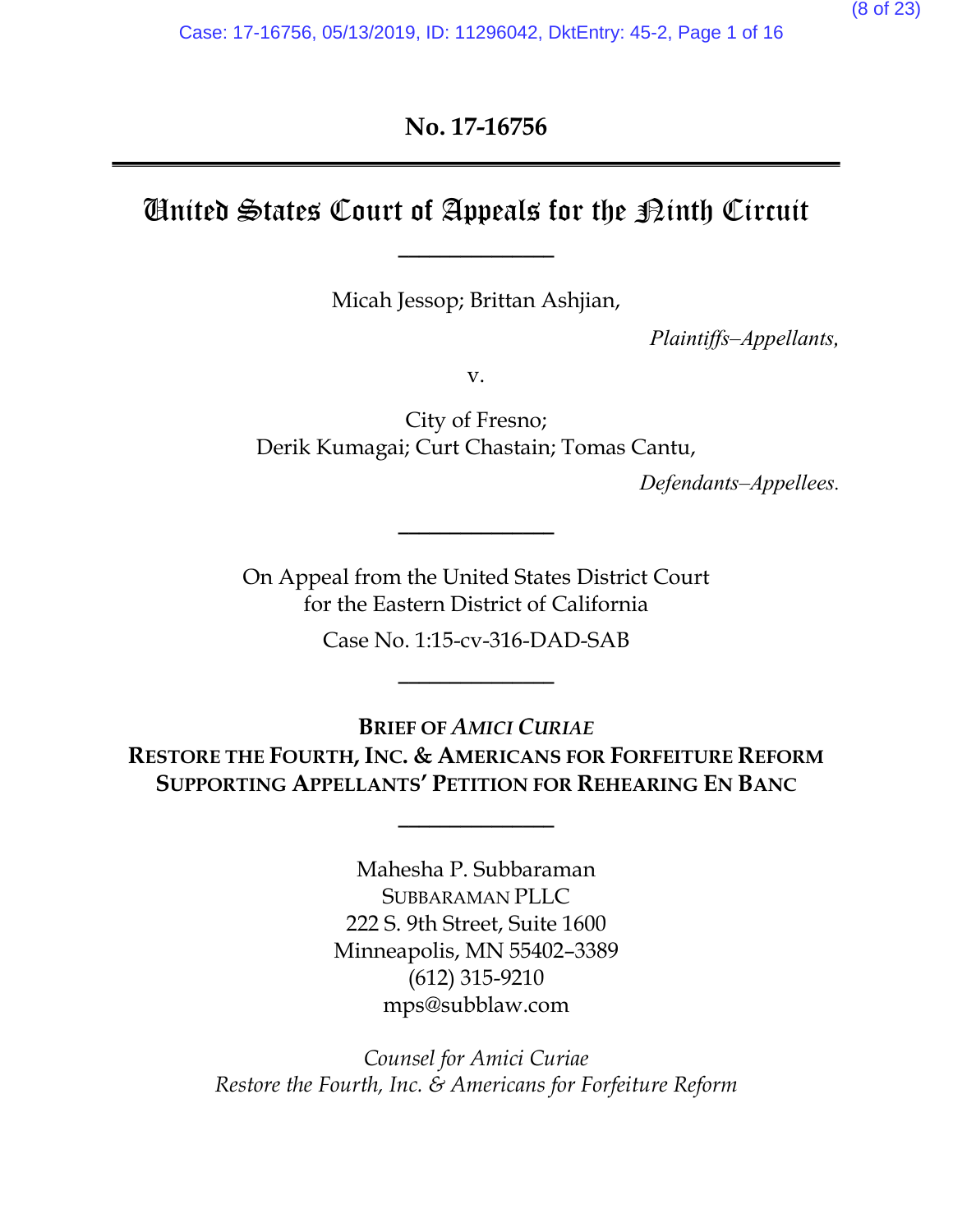# **No. 17-16756**

# United States Court of Appeals for the  $\mathcal D$ inth Circuit

**\_\_\_\_\_\_\_\_\_\_\_\_\_\_\_**

Micah Jessop; Brittan Ashjian,

*Plaintiffs–Appellants,*

v.

City of Fresno; Derik Kumagai; Curt Chastain; Tomas Cantu,

*Defendants–Appellees.*

On Appeal from the United States District Court for the Eastern District of California

**\_\_\_\_\_\_\_\_\_\_\_\_\_\_\_**

Case No. 1:15-cv-316-DAD-SAB

**\_\_\_\_\_\_\_\_\_\_\_\_\_\_\_**

**BRIEF OF** *AMICI CURIAE* **RESTORE THE FOURTH, INC. & AMERICANS FOR FORFEITURE REFORM SUPPORTING APPELLANTS' PETITION FOR REHEARING EN BANC**

**\_\_\_\_\_\_\_\_\_\_\_\_\_\_\_**

Mahesha P. Subbaraman SUBBARAMAN PLLC 222 S. 9th Street, Suite 1600 Minneapolis, MN 55402–3389 (612) 315-9210 mps@subblaw.com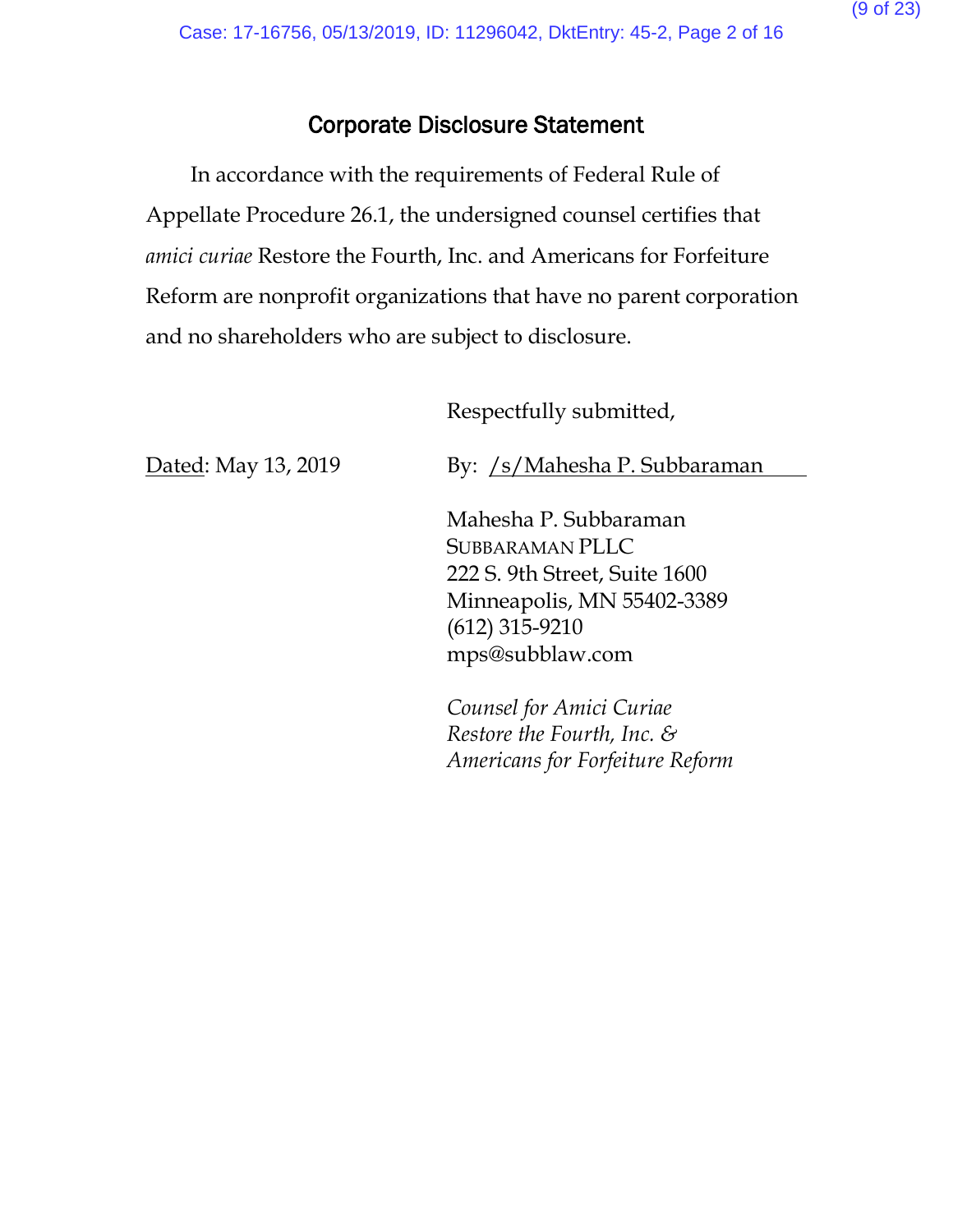# Corporate Disclosure Statement

In accordance with the requirements of Federal Rule of Appellate Procedure 26.1, the undersigned counsel certifies that *amici curiae* Restore the Fourth, Inc. and Americans for Forfeiture Reform are nonprofit organizations that have no parent corporation and no shareholders who are subject to disclosure.

Respectfully submitted,

Dated: May 13, 2019

By: /s/Mahesha P. Subbaraman

Mahesha P. Subbaraman SUBBARAMAN PLLC 222 S. 9th Street, Suite 1600 Minneapolis, MN 55402-3389 (612) 315-9210 mps@subblaw.com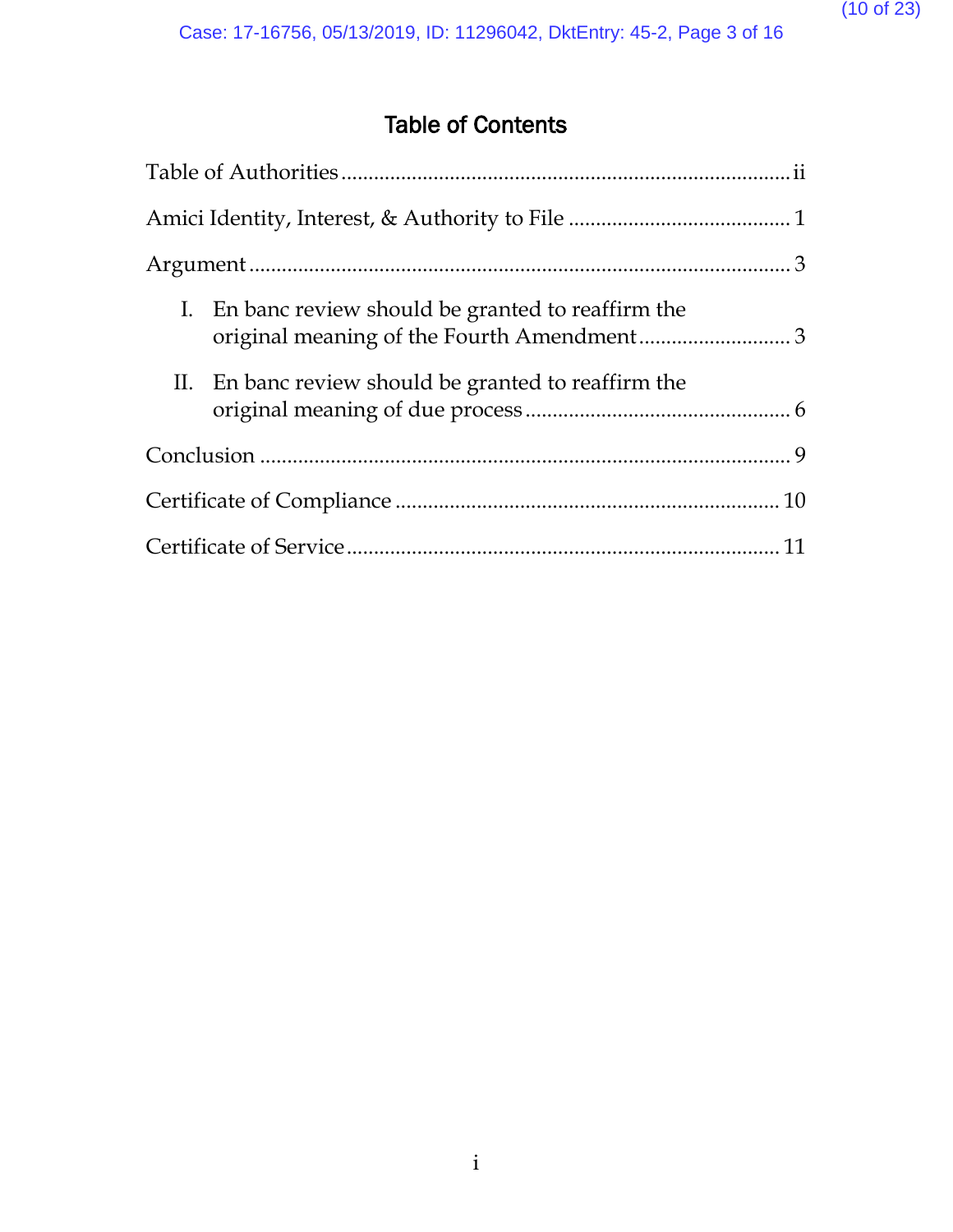# Table of Contents

| I. En banc review should be granted to reaffirm the<br>original meaning of the Fourth Amendment3 |  |
|--------------------------------------------------------------------------------------------------|--|
| II. En banc review should be granted to reaffirm the                                             |  |
|                                                                                                  |  |
|                                                                                                  |  |
|                                                                                                  |  |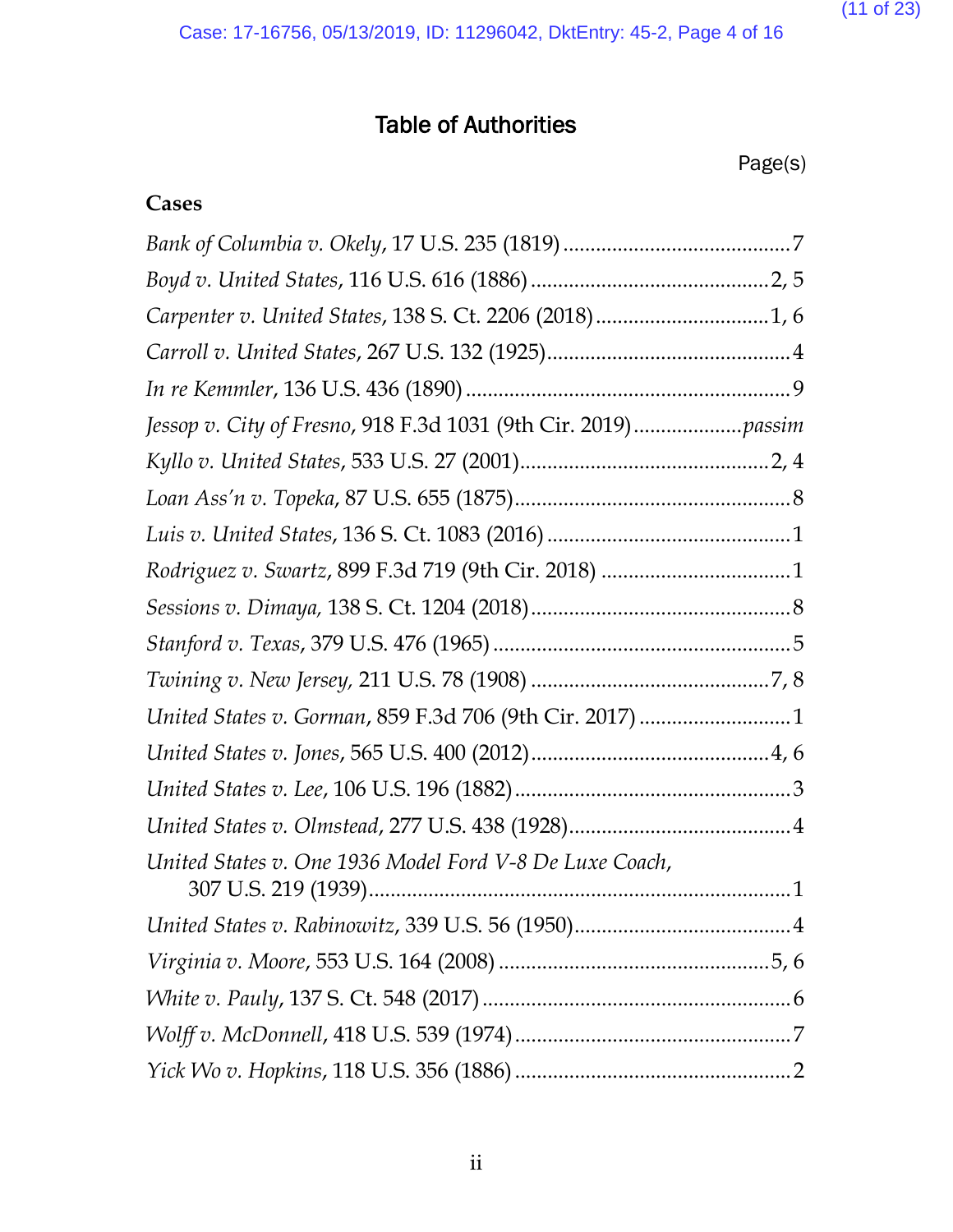(11 of 23)

# Table of Authorities

Page(s)

# **Cases**

| Carpenter v. United States, 138 S. Ct. 2206 (2018)1, 6  |   |
|---------------------------------------------------------|---|
|                                                         |   |
|                                                         |   |
|                                                         |   |
|                                                         |   |
|                                                         |   |
|                                                         |   |
| Rodriguez v. Swartz, 899 F.3d 719 (9th Cir. 2018) 1     |   |
|                                                         |   |
|                                                         |   |
|                                                         |   |
| United States v. Gorman, 859 F.3d 706 (9th Cir. 2017) 1 |   |
|                                                         |   |
|                                                         |   |
|                                                         |   |
| United States v. One 1936 Model Ford V-8 De Luxe Coach, | 1 |
|                                                         |   |
|                                                         |   |
|                                                         |   |
|                                                         |   |
|                                                         |   |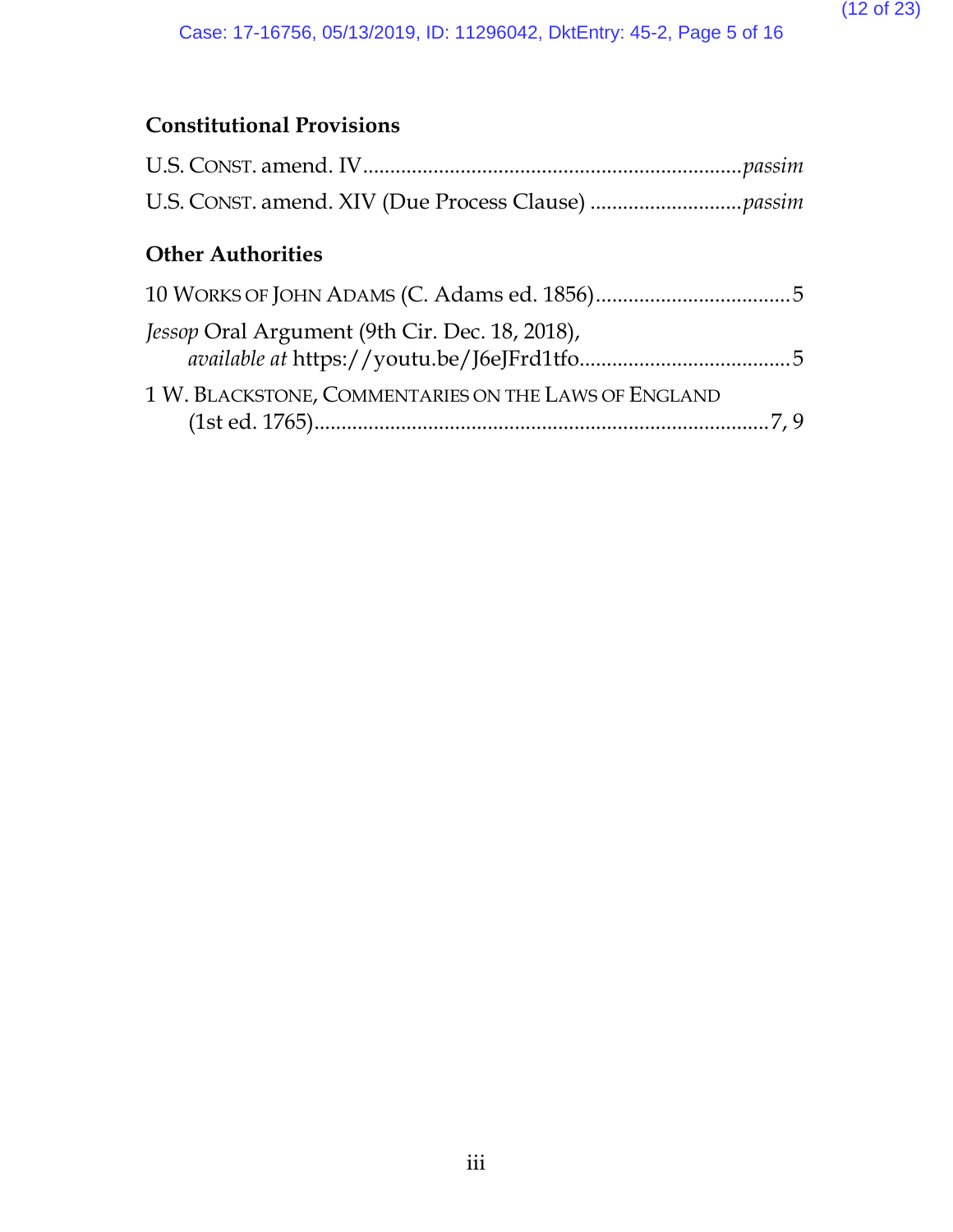# **Constitutional Provisions**

# **Other Authorities**

| Jessop Oral Argument (9th Cir. Dec. 18, 2018),       |  |
|------------------------------------------------------|--|
| 1 W. BLACKSTONE, COMMENTARIES ON THE LAWS OF ENGLAND |  |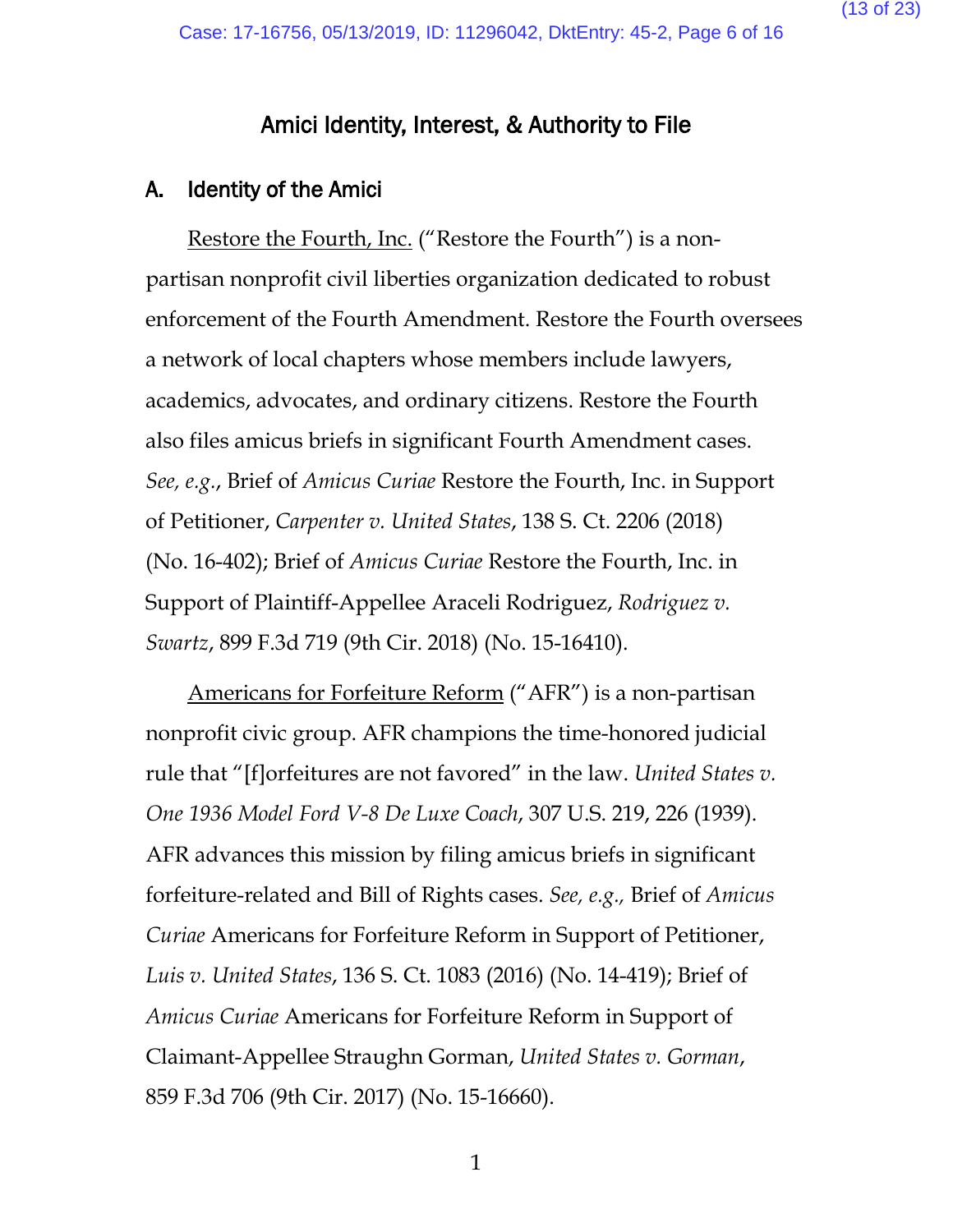(13 of 23)

# Amici Identity, Interest, & Authority to File

#### A. Identity of the Amici

Restore the Fourth, Inc. ("Restore the Fourth") is a nonpartisan nonprofit civil liberties organization dedicated to robust enforcement of the Fourth Amendment. Restore the Fourth oversees a network of local chapters whose members include lawyers, academics, advocates, and ordinary citizens. Restore the Fourth also files amicus briefs in significant Fourth Amendment cases. *See, e.g.*, Brief of *Amicus Curiae* Restore the Fourth, Inc. in Support of Petitioner, *Carpenter v. United States*, 138 S. Ct. 2206 (2018) (No. 16-402); Brief of *Amicus Curiae* Restore the Fourth, Inc. in Support of Plaintiff-Appellee Araceli Rodriguez, *Rodriguez v. Swartz*, 899 F.3d 719 (9th Cir. 2018) (No. 15-16410).

Americans for Forfeiture Reform ("AFR") is a non-partisan nonprofit civic group. AFR champions the time-honored judicial rule that "[f]orfeitures are not favored" in the law. *United States v. One 1936 Model Ford V-8 De Luxe Coach*, 307 U.S. 219, 226 (1939). AFR advances this mission by filing amicus briefs in significant forfeiture-related and Bill of Rights cases. *See, e.g.,* Brief of *Amicus Curiae* Americans for Forfeiture Reform in Support of Petitioner, *Luis v. United States*, 136 S. Ct. 1083 (2016) (No. 14-419); Brief of *Amicus Curiae* Americans for Forfeiture Reform in Support of Claimant-Appellee Straughn Gorman, *United States v. Gorman*, 859 F.3d 706 (9th Cir. 2017) (No. 15-16660).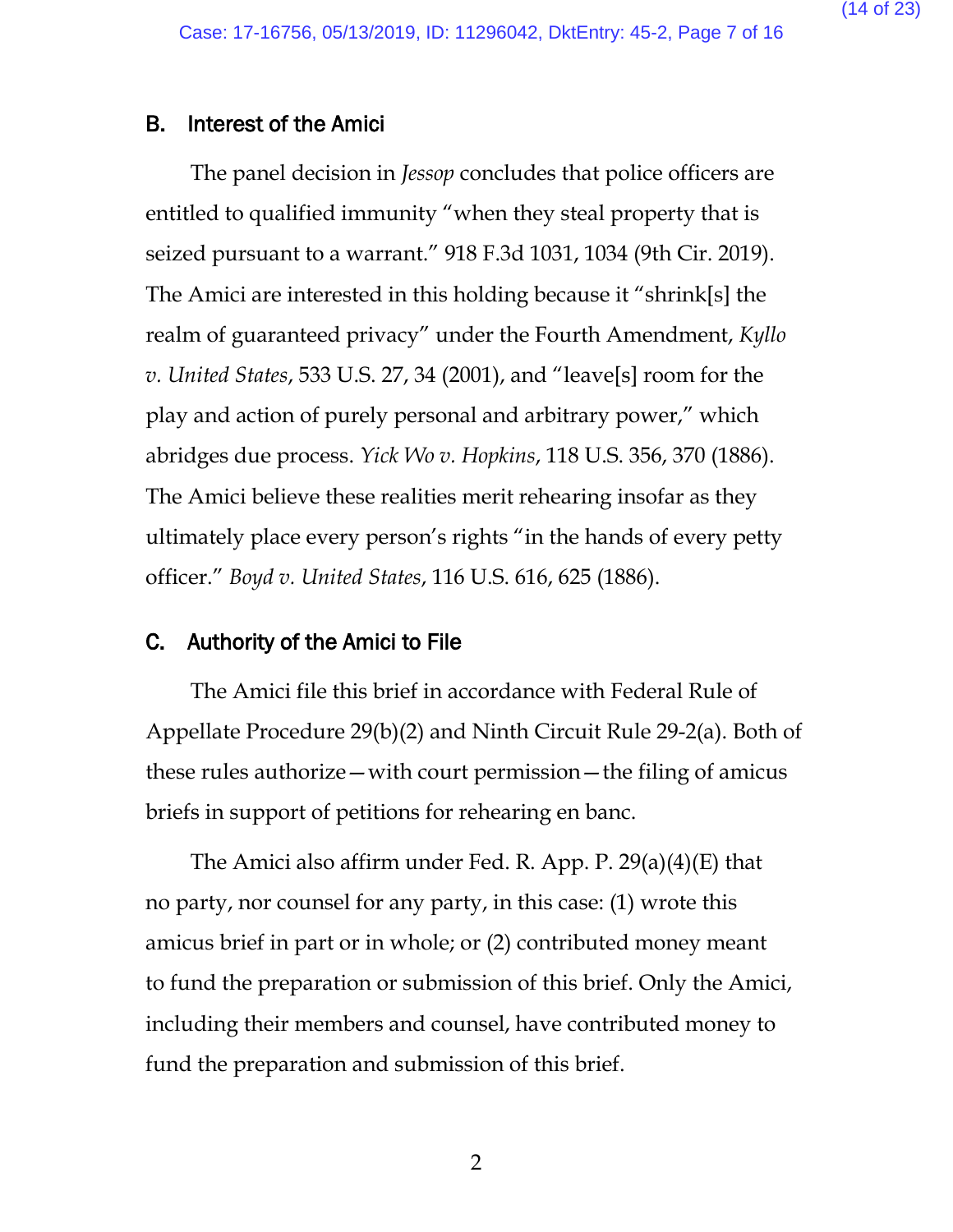#### B. Interest of the Amici

The panel decision in *Jessop* concludes that police officers are entitled to qualified immunity "when they steal property that is seized pursuant to a warrant." 918 F.3d 1031, 1034 (9th Cir. 2019). The Amici are interested in this holding because it "shrink[s] the realm of guaranteed privacy" under the Fourth Amendment, *Kyllo v. United States*, 533 U.S. 27, 34 (2001), and "leave[s] room for the play and action of purely personal and arbitrary power," which abridges due process. *Yick Wo v. Hopkins*, 118 U.S. 356, 370 (1886). The Amici believe these realities merit rehearing insofar as they ultimately place every person's rights "in the hands of every petty officer." *Boyd v. United States*, 116 U.S. 616, 625 (1886).

#### C. Authority of the Amici to File

The Amici file this brief in accordance with Federal Rule of Appellate Procedure 29(b)(2) and Ninth Circuit Rule 29-2(a). Both of these rules authorize—with court permission—the filing of amicus briefs in support of petitions for rehearing en banc.

The Amici also affirm under Fed. R. App. P. 29(a)(4)(E) that no party, nor counsel for any party, in this case: (1) wrote this amicus brief in part or in whole; or (2) contributed money meant to fund the preparation or submission of this brief. Only the Amici, including their members and counsel, have contributed money to fund the preparation and submission of this brief.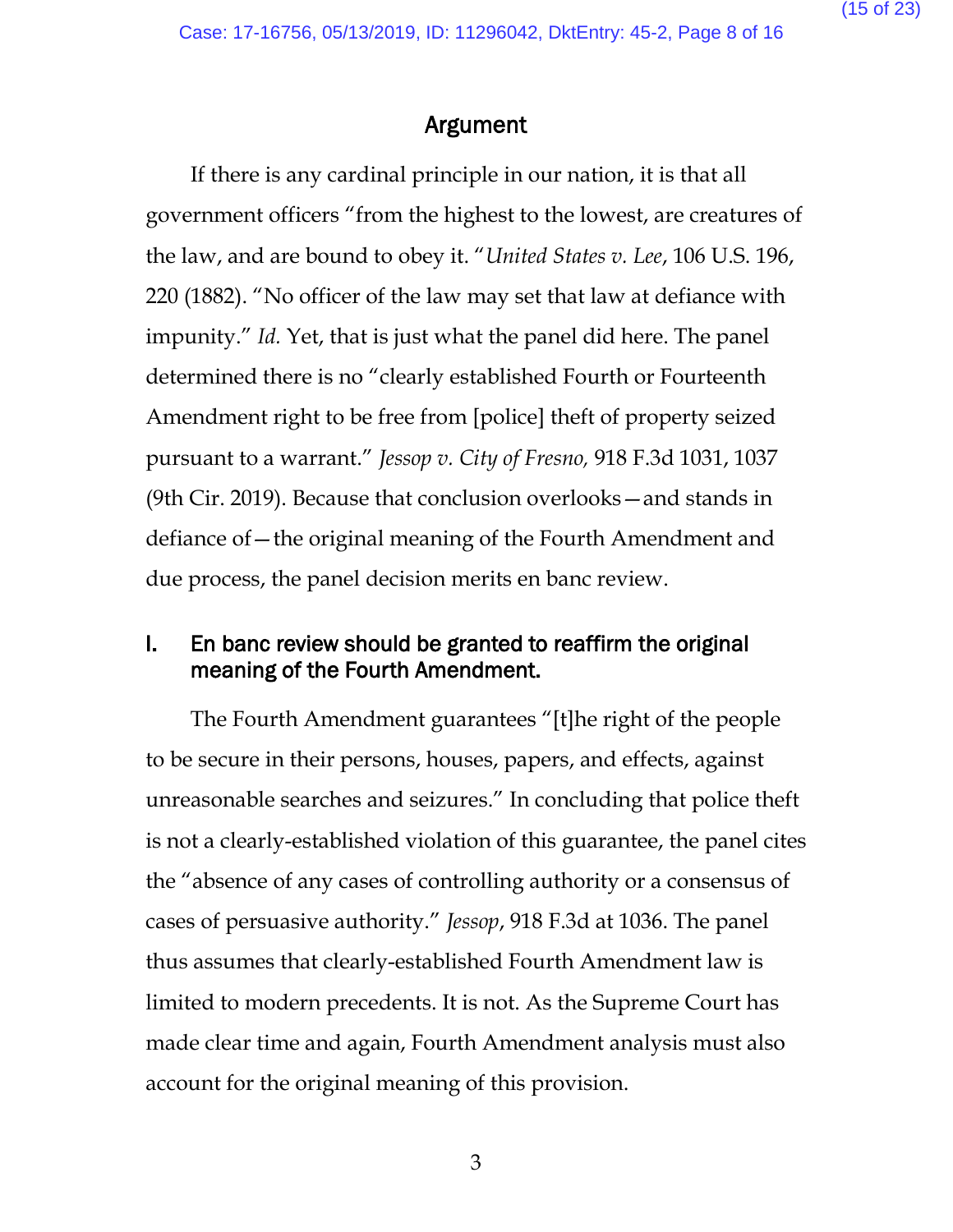# Argument

If there is any cardinal principle in our nation, it is that all government officers "from the highest to the lowest, are creatures of the law, and are bound to obey it. "*United States v. Lee*, 106 U.S. 196, 220 (1882). "No officer of the law may set that law at defiance with impunity." *Id.* Yet, that is just what the panel did here. The panel determined there is no "clearly established Fourth or Fourteenth Amendment right to be free from [police] theft of property seized pursuant to a warrant." *Jessop v. City of Fresno,* 918 F.3d 1031, 1037 (9th Cir. 2019). Because that conclusion overlooks—and stands in defiance of—the original meaning of the Fourth Amendment and due process, the panel decision merits en banc review.

# I. En banc review should be granted to reaffirm the original meaning of the Fourth Amendment.

The Fourth Amendment guarantees "[t]he right of the people to be secure in their persons, houses, papers, and effects, against unreasonable searches and seizures." In concluding that police theft is not a clearly-established violation of this guarantee, the panel cites the "absence of any cases of controlling authority or a consensus of cases of persuasive authority." *Jessop*, 918 F.3d at 1036. The panel thus assumes that clearly-established Fourth Amendment law is limited to modern precedents. It is not. As the Supreme Court has made clear time and again, Fourth Amendment analysis must also account for the original meaning of this provision.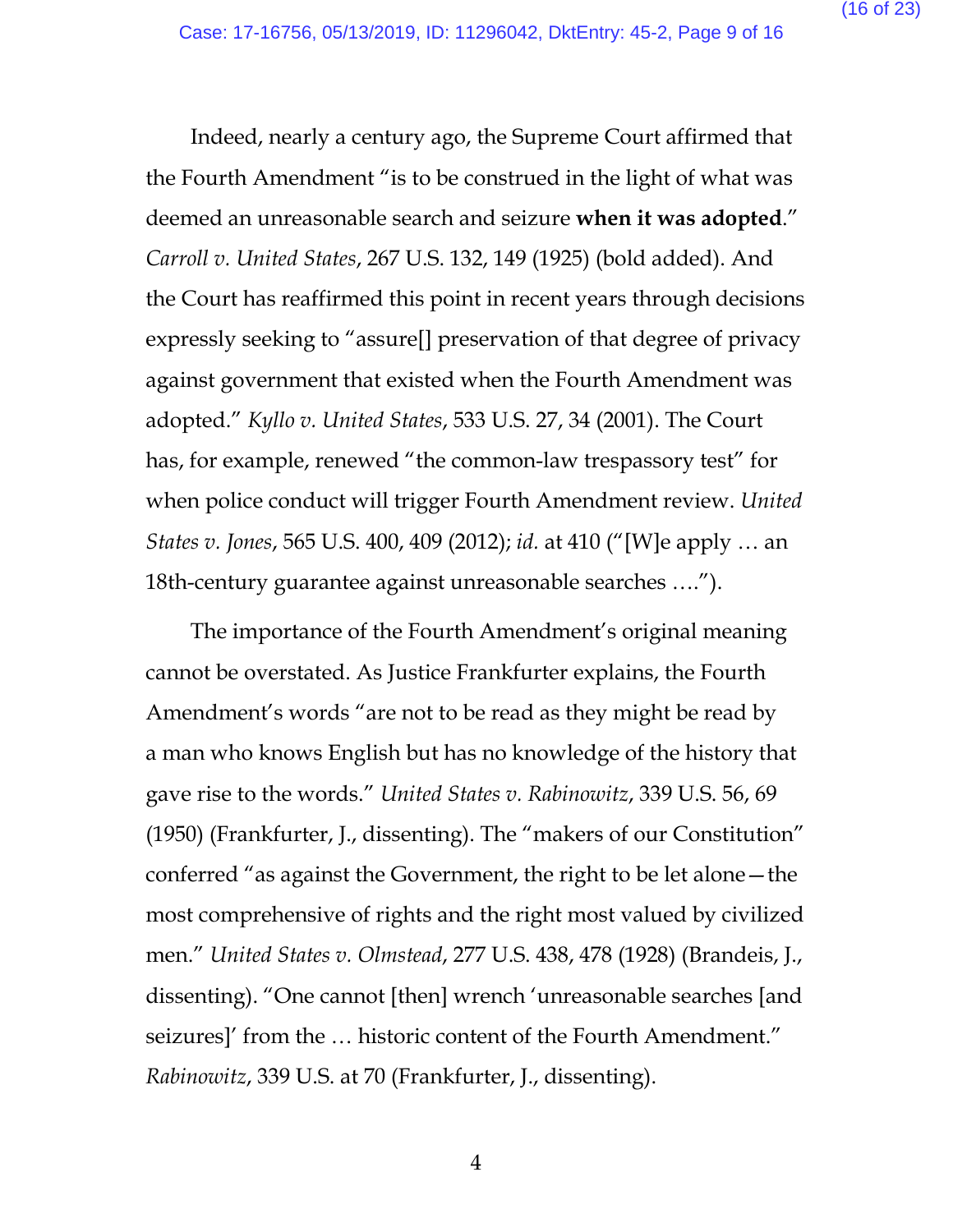Indeed, nearly a century ago, the Supreme Court affirmed that the Fourth Amendment "is to be construed in the light of what was deemed an unreasonable search and seizure **when it was adopted**." *Carroll v. United States*, 267 U.S. 132, 149 (1925) (bold added). And the Court has reaffirmed this point in recent years through decisions expressly seeking to "assure[] preservation of that degree of privacy against government that existed when the Fourth Amendment was adopted." *Kyllo v. United States*, 533 U.S. 27, 34 (2001). The Court has, for example, renewed "the common-law trespassory test" for when police conduct will trigger Fourth Amendment review. *United States v. Jones*, 565 U.S. 400, 409 (2012); *id.* at 410 ("[W]e apply … an 18th-century guarantee against unreasonable searches ….").

The importance of the Fourth Amendment's original meaning cannot be overstated. As Justice Frankfurter explains, the Fourth Amendment's words "are not to be read as they might be read by a man who knows English but has no knowledge of the history that gave rise to the words." *United States v. Rabinowitz*, 339 U.S. 56, 69 (1950) (Frankfurter, J., dissenting). The "makers of our Constitution" conferred "as against the Government, the right to be let alone—the most comprehensive of rights and the right most valued by civilized men." *United States v. Olmstead*, 277 U.S. 438, 478 (1928) (Brandeis, J., dissenting). "One cannot [then] wrench 'unreasonable searches [and seizures]' from the … historic content of the Fourth Amendment." *Rabinowitz*, 339 U.S. at 70 (Frankfurter, J., dissenting).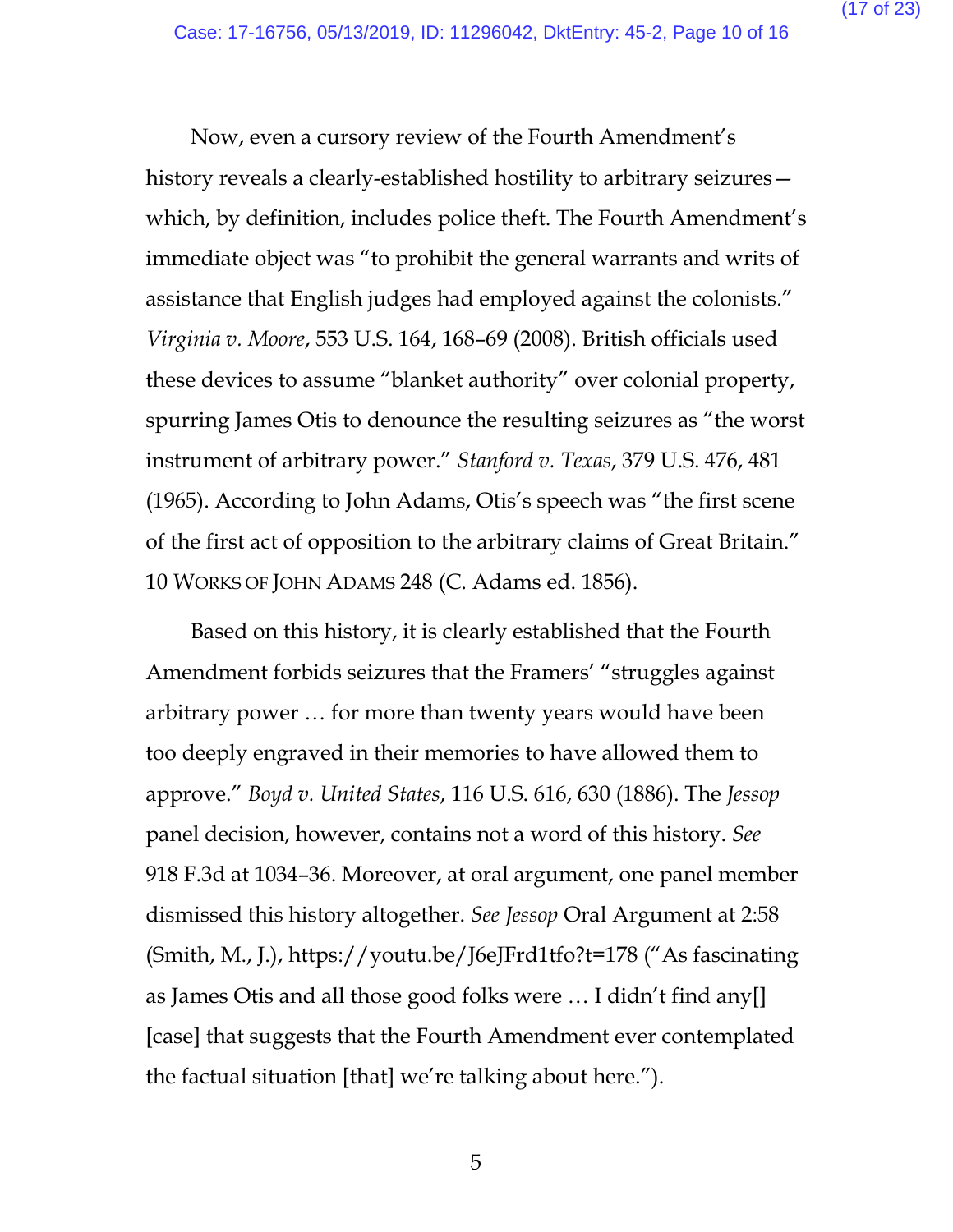Now, even a cursory review of the Fourth Amendment's history reveals a clearly-established hostility to arbitrary seizures which, by definition, includes police theft. The Fourth Amendment's immediate object was "to prohibit the general warrants and writs of assistance that English judges had employed against the colonists." *Virginia v. Moore*, 553 U.S. 164, 168–69 (2008). British officials used these devices to assume "blanket authority" over colonial property, spurring James Otis to denounce the resulting seizures as "the worst instrument of arbitrary power." *Stanford v. Texas*, 379 U.S. 476, 481 (1965). According to John Adams, Otis's speech was "the first scene of the first act of opposition to the arbitrary claims of Great Britain." 10 WORKS OF JOHN ADAMS 248 (C. Adams ed. 1856).

Based on this history, it is clearly established that the Fourth Amendment forbids seizures that the Framers' "struggles against arbitrary power … for more than twenty years would have been too deeply engraved in their memories to have allowed them to approve." *Boyd v. United States*, 116 U.S. 616, 630 (1886). The *Jessop*  panel decision, however, contains not a word of this history. *See* 918 F.3d at 1034–36. Moreover, at oral argument, one panel member dismissed this history altogether. *See Jessop* Oral Argument at 2:58 (Smith, M., J.), https://youtu.be/J6eJFrd1tfo?t=178 ("As fascinating as James Otis and all those good folks were … I didn't find any[] [case] that suggests that the Fourth Amendment ever contemplated the factual situation [that] we're talking about here.").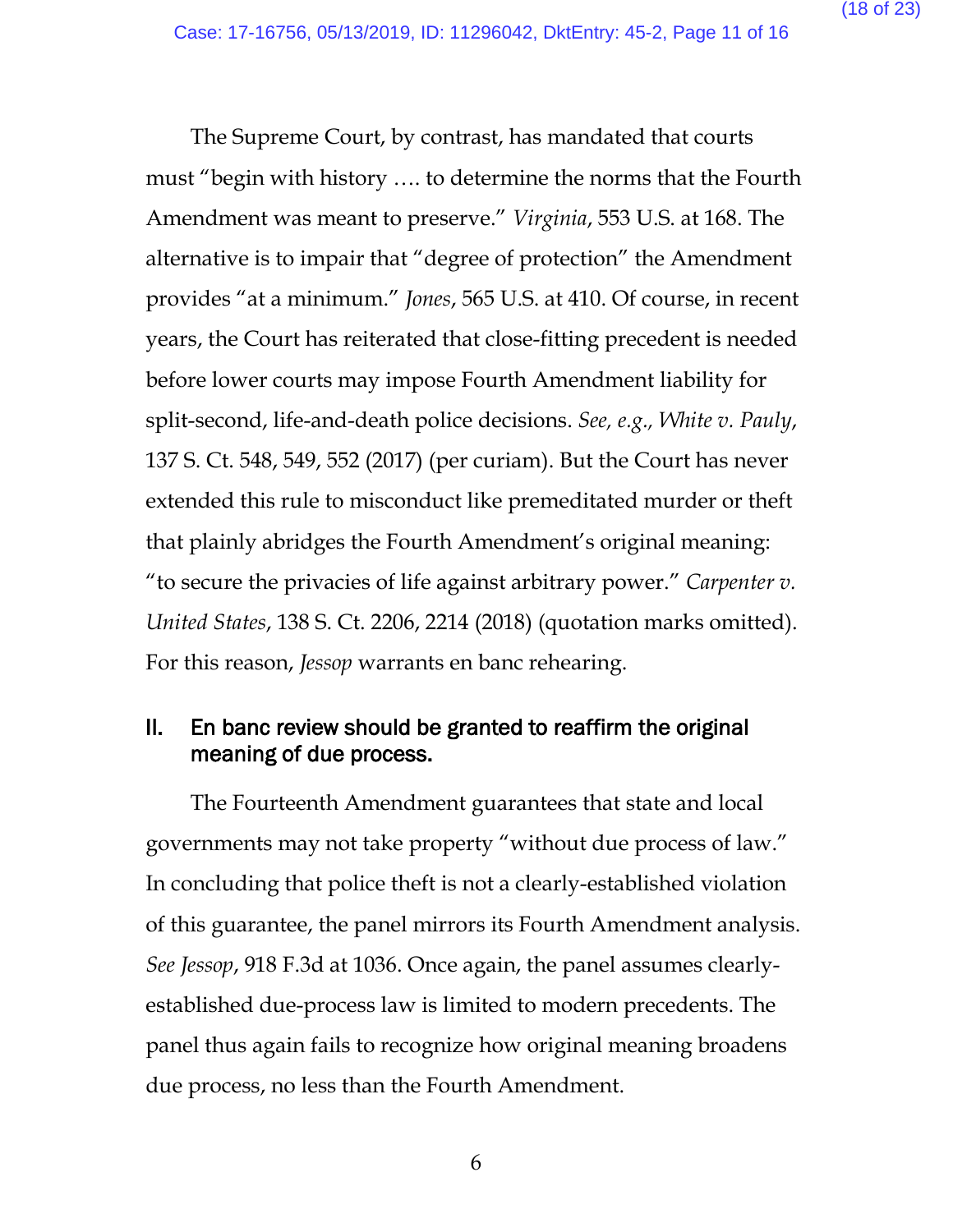The Supreme Court, by contrast, has mandated that courts must "begin with history …. to determine the norms that the Fourth Amendment was meant to preserve." *Virginia*, 553 U.S. at 168. The alternative is to impair that "degree of protection" the Amendment provides "at a minimum." *Jones*, 565 U.S. at 410. Of course, in recent years, the Court has reiterated that close-fitting precedent is needed before lower courts may impose Fourth Amendment liability for split-second, life-and-death police decisions. *See, e.g., White v. Pauly*, 137 S. Ct. 548, 549, 552 (2017) (per curiam). But the Court has never extended this rule to misconduct like premeditated murder or theft that plainly abridges the Fourth Amendment's original meaning: "to secure the privacies of life against arbitrary power." *Carpenter v. United States*, 138 S. Ct. 2206, 2214 (2018) (quotation marks omitted). For this reason, *Jessop* warrants en banc rehearing.

# II. En banc review should be granted to reaffirm the original meaning of due process.

The Fourteenth Amendment guarantees that state and local governments may not take property "without due process of law." In concluding that police theft is not a clearly-established violation of this guarantee, the panel mirrors its Fourth Amendment analysis. *See Jessop*, 918 F.3d at 1036. Once again, the panel assumes clearlyestablished due-process law is limited to modern precedents. The panel thus again fails to recognize how original meaning broadens due process, no less than the Fourth Amendment.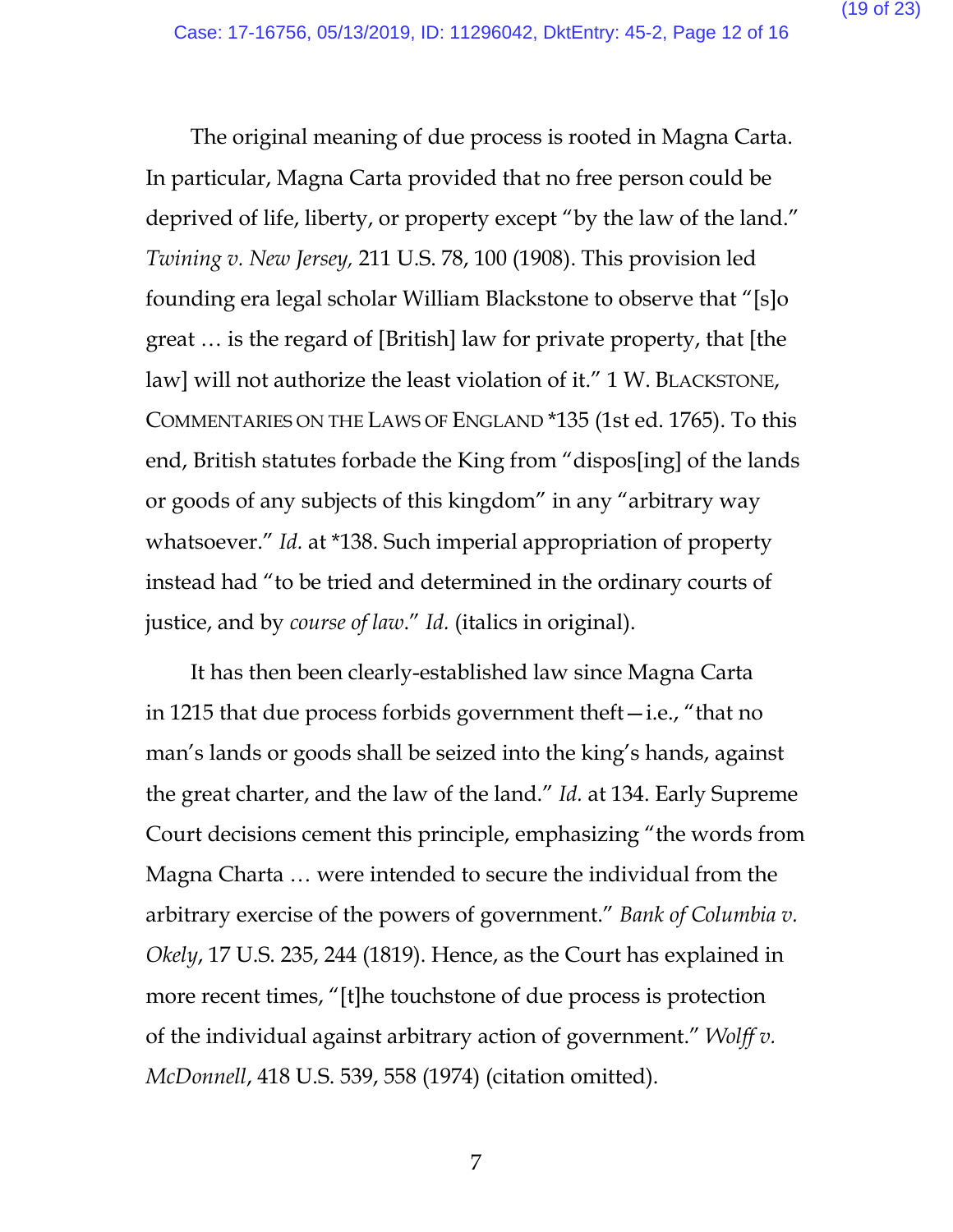The original meaning of due process is rooted in Magna Carta. In particular, Magna Carta provided that no free person could be deprived of life, liberty, or property except "by the law of the land." *Twining v. New Jersey,* 211 U.S. 78, 100 (1908). This provision led founding era legal scholar William Blackstone to observe that "[s]o great … is the regard of [British] law for private property, that [the law] will not authorize the least violation of it." 1 W. BLACKSTONE, COMMENTARIES ON THE LAWS OF ENGLAND \*135 (1st ed. 1765). To this end, British statutes forbade the King from "dispos[ing] of the lands or goods of any subjects of this kingdom" in any "arbitrary way whatsoever." *Id.* at \*138. Such imperial appropriation of property instead had "to be tried and determined in the ordinary courts of justice, and by *course of law*." *Id.* (italics in original).

It has then been clearly-established law since Magna Carta in 1215 that due process forbids government theft—i.e., "that no man's lands or goods shall be seized into the king's hands, against the great charter, and the law of the land." *Id.* at 134. Early Supreme Court decisions cement this principle, emphasizing "the words from Magna Charta … were intended to secure the individual from the arbitrary exercise of the powers of government." *Bank of Columbia v. Okely*, 17 U.S. 235, 244 (1819). Hence, as the Court has explained in more recent times, "[t]he touchstone of due process is protection of the individual against arbitrary action of government." *Wolff v. McDonnell*, 418 U.S. 539, 558 (1974) (citation omitted).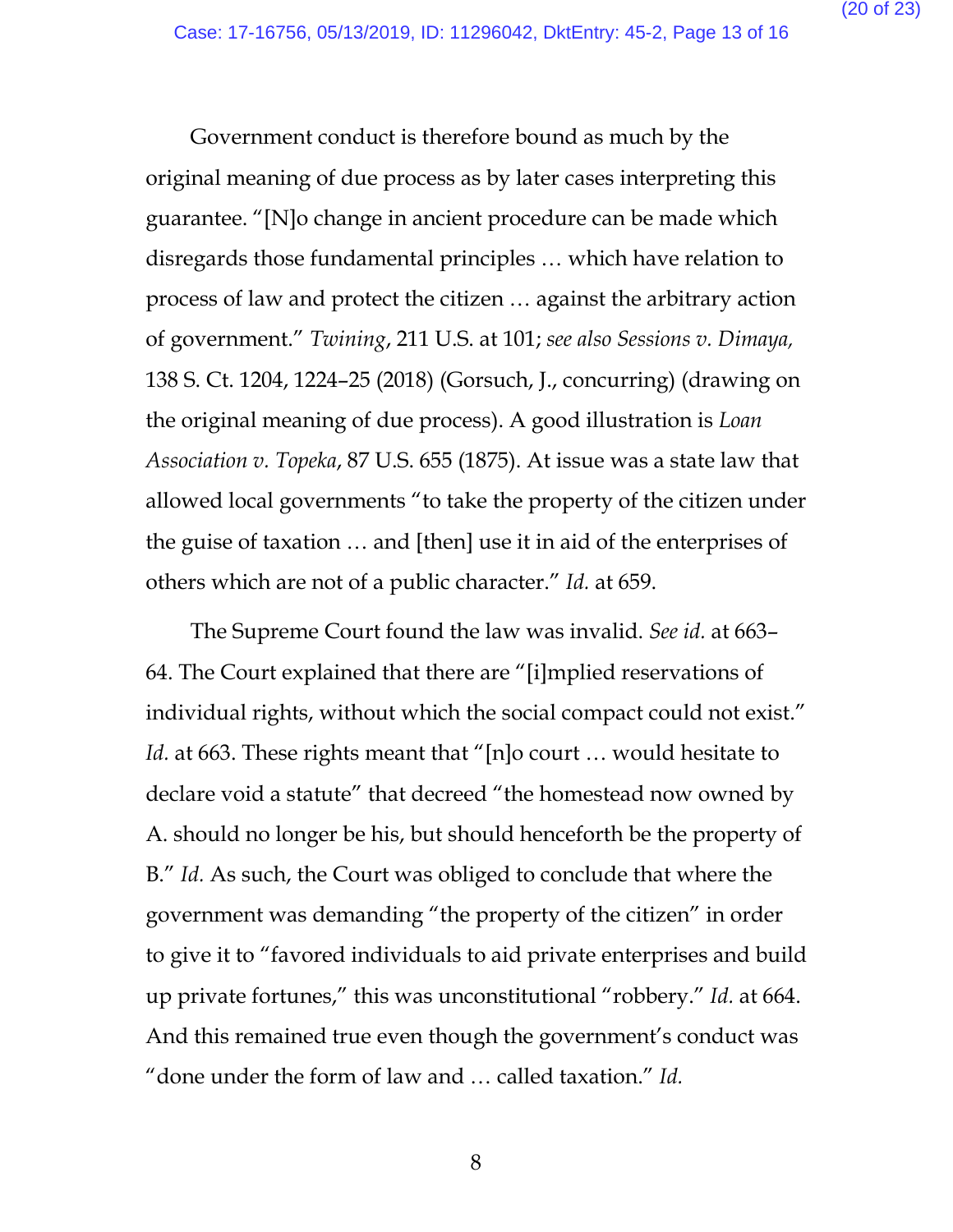Government conduct is therefore bound as much by the original meaning of due process as by later cases interpreting this guarantee. "[N]o change in ancient procedure can be made which disregards those fundamental principles … which have relation to process of law and protect the citizen … against the arbitrary action of government." *Twining*, 211 U.S. at 101; *see also Sessions v. Dimaya,*  138 S. Ct. 1204, 1224–25 (2018) (Gorsuch, J., concurring) (drawing on the original meaning of due process). A good illustration is *Loan Association v. Topeka*, 87 U.S. 655 (1875). At issue was a state law that allowed local governments "to take the property of the citizen under the guise of taxation … and [then] use it in aid of the enterprises of others which are not of a public character." *Id.* at 659.

The Supreme Court found the law was invalid. *See id.* at 663– 64. The Court explained that there are "[i]mplied reservations of individual rights, without which the social compact could not exist." Id. at 663. These rights meant that "[n]o court ... would hesitate to declare void a statute" that decreed "the homestead now owned by A. should no longer be his, but should henceforth be the property of B." *Id.* As such, the Court was obliged to conclude that where the government was demanding "the property of the citizen" in order to give it to "favored individuals to aid private enterprises and build up private fortunes," this was unconstitutional "robbery." *Id.* at 664. And this remained true even though the government's conduct was "done under the form of law and … called taxation." *Id.*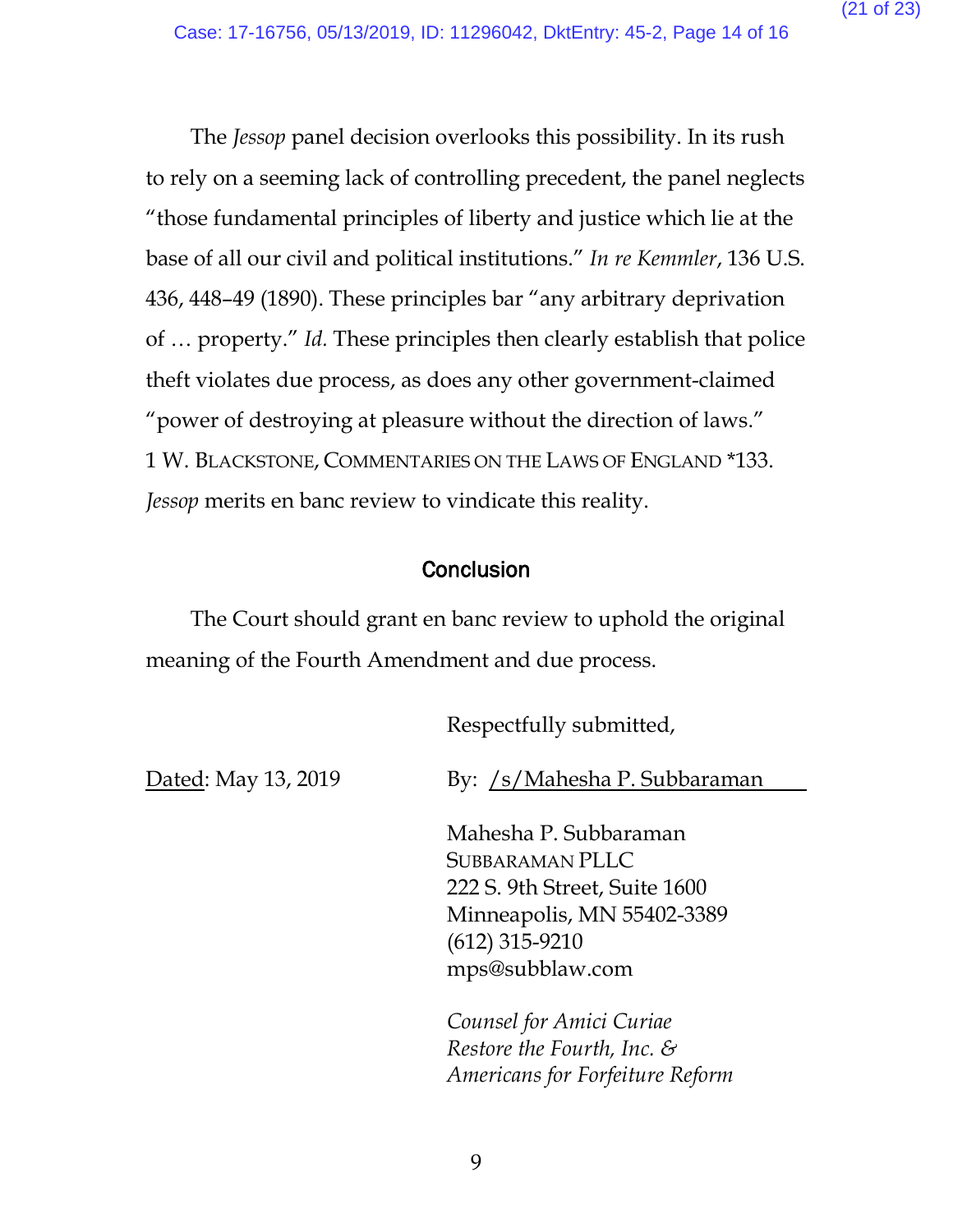The *Jessop* panel decision overlooks this possibility. In its rush to rely on a seeming lack of controlling precedent, the panel neglects "those fundamental principles of liberty and justice which lie at the base of all our civil and political institutions." *In re Kemmler*, 136 U.S. 436, 448–49 (1890). These principles bar "any arbitrary deprivation of … property." *Id.* These principles then clearly establish that police theft violates due process, as does any other government-claimed "power of destroying at pleasure without the direction of laws." 1 W. BLACKSTONE, COMMENTARIES ON THE LAWS OF ENGLAND \*133. *Jessop* merits en banc review to vindicate this reality.

# **Conclusion**

The Court should grant en banc review to uphold the original meaning of the Fourth Amendment and due process.

Respectfully submitted,

Dated: May 13, 2019

By: /s/Mahesha P. Subbaraman

Mahesha P. Subbaraman SUBBARAMAN PLLC 222 S. 9th Street, Suite 1600 Minneapolis, MN 55402-3389 (612) 315-9210 mps@subblaw.com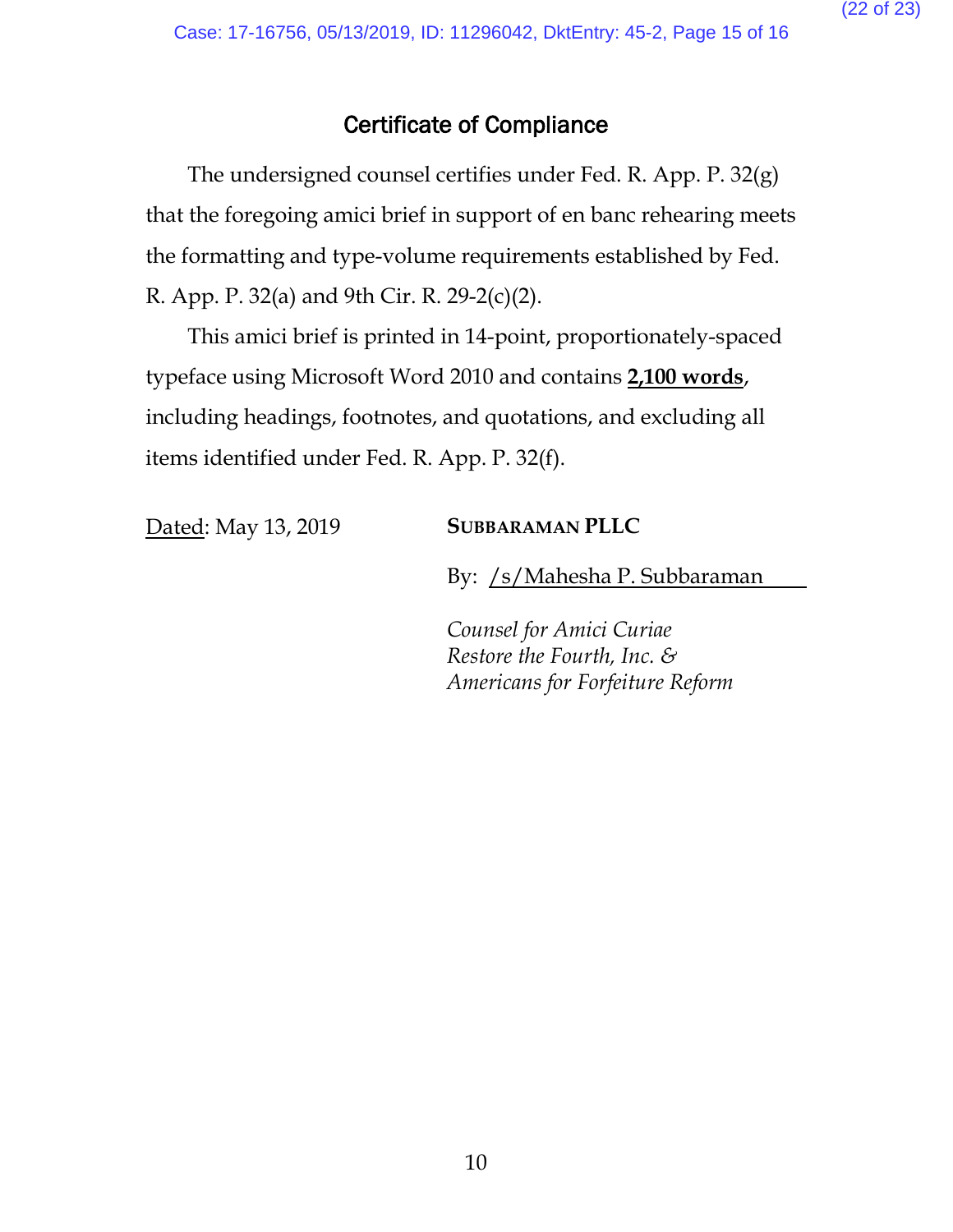# Certificate of Compliance

The undersigned counsel certifies under Fed. R. App. P. 32(g) that the foregoing amici brief in support of en banc rehearing meets the formatting and type-volume requirements established by Fed. R. App. P. 32(a) and 9th Cir. R. 29-2(c)(2).

This amici brief is printed in 14-point, proportionately-spaced typeface using Microsoft Word 2010 and contains **2,100 words**, including headings, footnotes, and quotations, and excluding all items identified under Fed. R. App. P. 32(f).

# Dated: May 13, 2019 **SUBBARAMAN PLLC**

By: /s/Mahesha P. Subbaraman